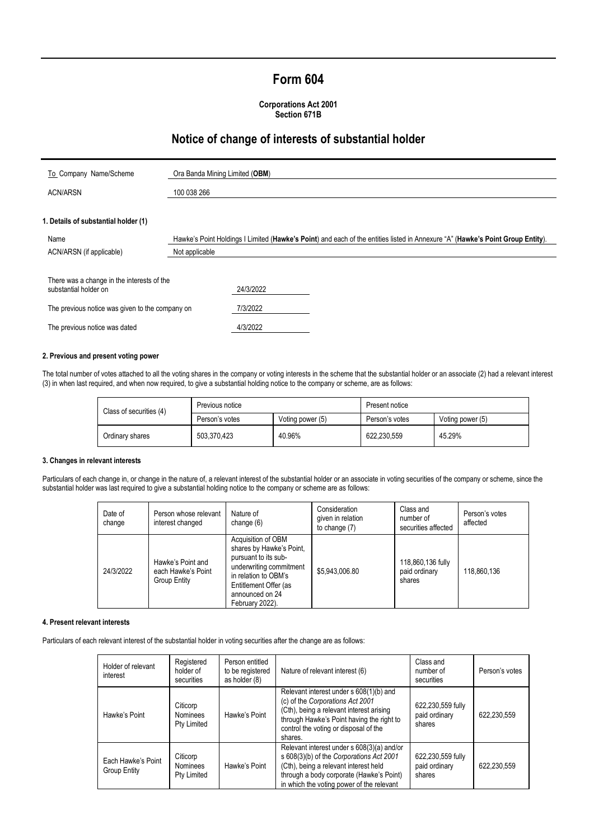# **Form 604**

### **Corporations Act 2001 Section 671B**

## **Notice of change of interests of substantial holder**

| To Company Name/Scheme                                              | Ora Banda Mining Limited (OBM)                                                                                                 |  |
|---------------------------------------------------------------------|--------------------------------------------------------------------------------------------------------------------------------|--|
| <b>ACN/ARSN</b>                                                     | 100 038 266                                                                                                                    |  |
|                                                                     |                                                                                                                                |  |
| 1. Details of substantial holder (1)                                |                                                                                                                                |  |
| Name                                                                | Hawke's Point Holdings I Limited (Hawke's Point) and each of the entities listed in Annexure "A" (Hawke's Point Group Entity). |  |
| ACN/ARSN (if applicable)                                            | Not applicable                                                                                                                 |  |
|                                                                     |                                                                                                                                |  |
| There was a change in the interests of the<br>substantial holder on | 24/3/2022                                                                                                                      |  |
| The previous notice was given to the company on                     | 7/3/2022                                                                                                                       |  |
| The previous notice was dated                                       | 4/3/2022                                                                                                                       |  |

## **2. Previous and present voting power**

The total number of votes attached to all the voting shares in the company or voting interests in the scheme that the substantial holder or an associate (2) had a relevant interest (3) in when last required, and when now required, to give a substantial holding notice to the company or scheme, are as follows:

| Class of securities (4) | Previous notice |                  | Present notice |                  |
|-------------------------|-----------------|------------------|----------------|------------------|
|                         | Person's votes  | Voting power (5) | Person's votes | Voting power (5) |
| Ordinary shares         | 503.370.423     | 40.96%           | 622.230.559    | 45.29%           |

### **3. Changes in relevant interests**

Particulars of each change in, or change in the nature of, a relevant interest of the substantial holder or an associate in voting securities of the company or scheme, since the substantial holder was last required to give a substantial holding notice to the company or scheme are as follows:

| Date of<br>change | Person whose relevant<br>interest changed               | Nature of<br>change (6)                                                                                                                                                                  | Consideration<br>given in relation<br>to change (7) | Class and<br>number of<br>securities affected | Person's votes<br>affected |
|-------------------|---------------------------------------------------------|------------------------------------------------------------------------------------------------------------------------------------------------------------------------------------------|-----------------------------------------------------|-----------------------------------------------|----------------------------|
| 24/3/2022         | Hawke's Point and<br>each Hawke's Point<br>Group Entity | Acquisition of OBM<br>shares by Hawke's Point,<br>pursuant to its sub-<br>underwriting commitment<br>in relation to OBM's<br>Entitlement Offer (as<br>announced on 24<br>February 2022). | \$5,943,006.80                                      | 118,860,136 fully<br>paid ordinary<br>shares  | 118.860.136                |

#### **4. Present relevant interests**

Particulars of each relevant interest of the substantial holder in voting securities after the change are as follows:

|  | Holder of relevant<br>interest     | Registered<br>holder of<br>securities      | Person entitled<br>to be registered<br>as holder (8) | Nature of relevant interest (6)                                                                                                                                                                                          | Class and<br>number of<br>securities         | Person's votes |
|--|------------------------------------|--------------------------------------------|------------------------------------------------------|--------------------------------------------------------------------------------------------------------------------------------------------------------------------------------------------------------------------------|----------------------------------------------|----------------|
|  | Hawke's Point                      | Citicorp<br><b>Nominees</b><br>Pty Limited | Hawke's Point                                        | Relevant interest under s 608(1)(b) and<br>(c) of the Corporations Act 2001<br>(Cth), being a relevant interest arising<br>through Hawke's Point having the right to<br>control the voting or disposal of the<br>shares. | 622,230,559 fully<br>paid ordinary<br>shares | 622.230.559    |
|  | Each Hawke's Point<br>Group Entity | Citicorp<br><b>Nominees</b><br>Pty Limited | Hawke's Point                                        | Relevant interest under s 608(3)(a) and/or<br>s 608(3)(b) of the Corporations Act 2001<br>(Cth), being a relevant interest held<br>through a body corporate (Hawke's Point)<br>in which the voting power of the relevant | 622,230,559 fully<br>paid ordinary<br>shares | 622.230.559    |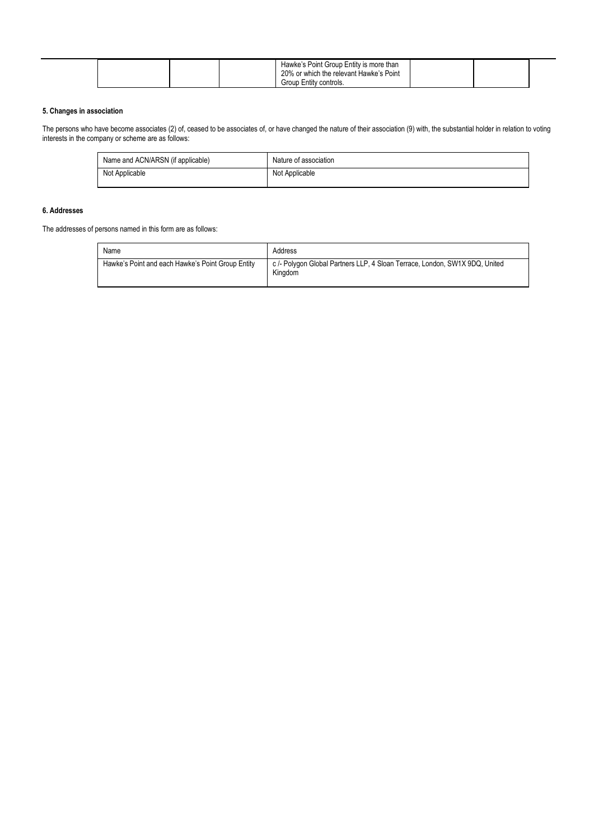|  |  | Hawke's Point Group Entity is more than<br>20% or which the relevant Hawke's Point<br>Group Entity controls. |  |  |
|--|--|--------------------------------------------------------------------------------------------------------------|--|--|
|--|--|--------------------------------------------------------------------------------------------------------------|--|--|

## **5. Changes in association**

The persons who have become associates (2) of, ceased to be associates of, or have changed the nature of their association (9) with, the substantial holder in relation to voting interests in the company or scheme are as follows:

| Name and ACN/ARSN (if applicable) | Nature of association |
|-----------------------------------|-----------------------|
| Not Applicable                    | Not Applicable        |

### **6. Addresses**

The addresses of persons named in this form are as follows:

| Name                                              | Address                                                                                |
|---------------------------------------------------|----------------------------------------------------------------------------------------|
| Hawke's Point and each Hawke's Point Group Entity | c /- Polygon Global Partners LLP, 4 Sloan Terrace, London, SW1X 9DQ, United<br>Kingdom |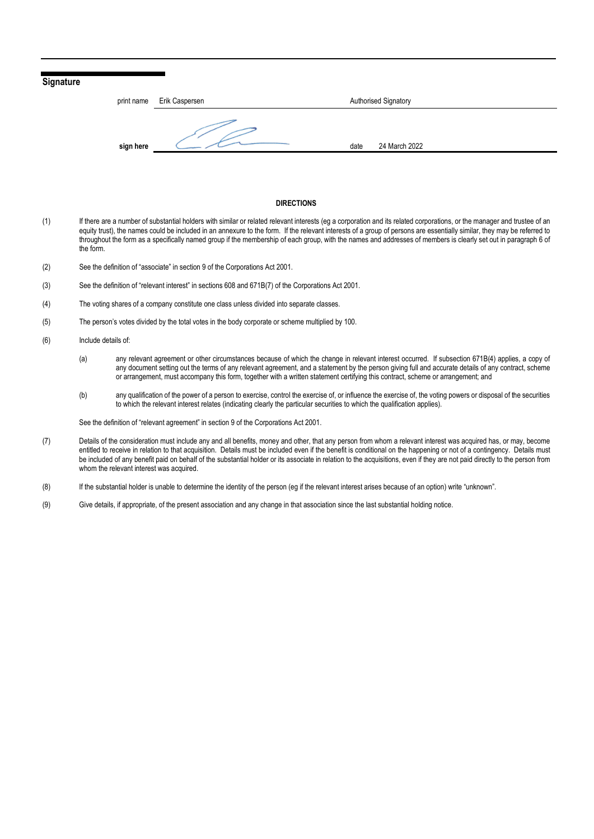## **Signature**



#### **DIRECTIONS**

- (1) If there are a number of substantial holders with similar or related relevant interests (eg a corporation and its related corporations, or the manager and trustee of an equity trust), the names could be included in an annexure to the form. If the relevant interests of a group of persons are essentially similar, they may be referred to throughout the form as a specifically named group if the membership of each group, with the names and addresses of members is clearly set out in paragraph 6 of the form.
- (2) See the definition of "associate" in section 9 of the Corporations Act 2001.
- (3) See the definition of "relevant interest" in sections 608 and 671B(7) of the Corporations Act 2001.
- (4) The voting shares of a company constitute one class unless divided into separate classes.
- (5) The person's votes divided by the total votes in the body corporate or scheme multiplied by 100.
- (6) Include details of:
	- (a) any relevant agreement or other circumstances because of which the change in relevant interest occurred. If subsection 671B(4) applies, a copy of any document setting out the terms of any relevant agreement, and a statement by the person giving full and accurate details of any contract, scheme or arrangement, must accompany this form, together with a written statement certifying this contract, scheme or arrangement; and
	- (b) any qualification of the power of a person to exercise, control the exercise of, or influence the exercise of, the voting powers or disposal of the securities to which the relevant interest relates (indicating clearly the particular securities to which the qualification applies).

See the definition of "relevant agreement" in section 9 of the Corporations Act 2001.

- (7) Details of the consideration must include any and all benefits, money and other, that any person from whom a relevant interest was acquired has, or may, become entitled to receive in relation to that acquisition. Details must be included even if the benefit is conditional on the happening or not of a contingency. Details must be included of any benefit paid on behalf of the substantial holder or its associate in relation to the acquisitions, even if they are not paid directly to the person from whom the relevant interest was acquired.
- (8) If the substantial holder is unable to determine the identity of the person (eg if the relevant interest arises because of an option) write "unknown".
- (9) Give details, if appropriate, of the present association and any change in that association since the last substantial holding notice.